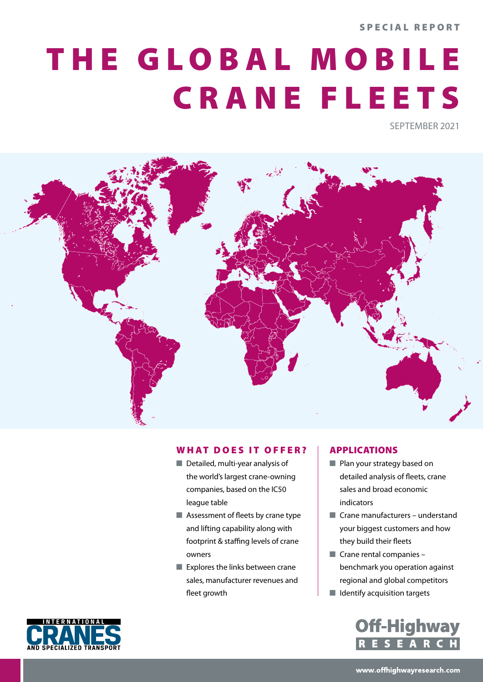SPECIAL REPORT

# THE GLOBAL MOBILE CRANE FLEETS

SEPTEMBER 2021



## WHAT DOES IT OFFER?

- $\blacksquare$  Detailed, multi-year analysis of the world's largest crane-owning companies, based on the IC50 league table
- $\blacksquare$  Assessment of fleets by crane type and lifting capability along with footprint & staffing levels of crane owners
- $\blacksquare$  Explores the links between crane sales, manufacturer revenues and fleet growth

## APPLICATIONS

- $\blacksquare$  Plan your strategy based on detailed analysis of fleets, crane sales and broad economic indicators
- $\blacksquare$  Crane manufacturers understand your biggest customers and how they build their fleets
- $\blacksquare$  Crane rental companies benchmark you operation against regional and global competitors
- $\blacksquare$  Identify acquisition targets